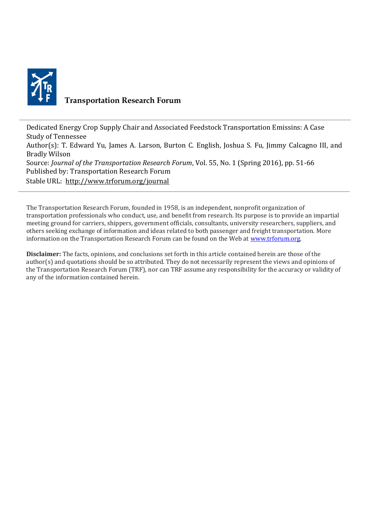

## **Transportation Research Forum**

Dedicated Energy Crop Supply Chair and Associated Feedstock Transportation Emissins: A Case Study of Tennessee Author(s): T. Edward Yu, James A. Larson, Burton C. English, Joshua S. Fu, Jimmy Calcagno III, and Bradly Wilson Source: *Journal of the Transportation Research Forum*, Vol. 55, No. 1 (Spring 2016), pp. 51-66 Published by: Transportation Research Forum Stable URL:<http://www.trforum.org/journal>

The Transportation Research Forum, founded in 1958, is an independent, nonprofit organization of transportation professionals who conduct, use, and benefit from research. Its purpose is to provide an impartial meeting ground for carriers, shippers, government officials, consultants, university researchers, suppliers, and others seeking exchange of information and ideas related to both passenger and freight transportation. More information on the Transportation Research Forum can be found on the Web at [www.trforum.org.](http://www.trforum.org/)

**Disclaimer:** The facts, opinions, and conclusions set forth in this article contained herein are those of the author(s) and quotations should be so attributed. They do not necessarily represent the views and opinions of the Transportation Research Forum (TRF), nor can TRF assume any responsibility for the accuracy or validity of any of the information contained herein.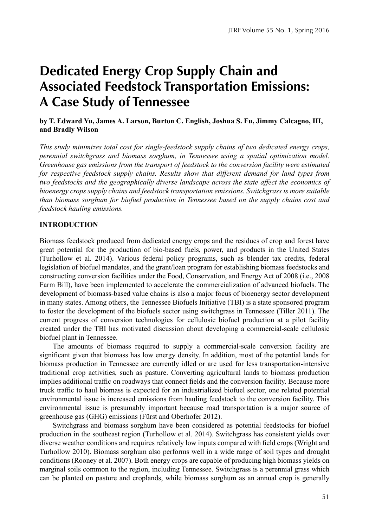# **Dedicated Energy Crop Supply Chain and Associated Feedstock Transportation Emissions: A Case Study of Tennessee**

## **by T. Edward Yu, James A. Larson, Burton C. English, Joshua S. Fu, Jimmy Calcagno, III, and Bradly Wilson**

*This study minimizes total cost for single-feedstock supply chains of two dedicated energy crops, perennial switchgrass and biomass sorghum, in Tennessee using a spatial optimization model. Greenhouse gas emissions from the transport of feedstock to the conversion facility were estimated for respective feedstock supply chains. Results show that different demand for land types from two* feedstocks and the geographically diverse landscape across the state affect the economics of *bioenergy crops supply chains and feedstock transportation emissions. Switchgrass is more suitable than biomass sorghum for biofuel production in Tennessee based on the supply chains cost and feedstock hauling emissions.* 

## **INTRODUCTION**

Biomass feedstock produced from dedicated energy crops and the residues of crop and forest have great potential for the production of bio-based fuels, power, and products in the United States (Turhollow et al. 2014). Various federal policy programs, such as blender tax credits, federal legislation of biofuel mandates, and the grant/loan program for establishing biomass feedstocks and constructing conversion facilities under the Food, Conservation, and Energy Act of 2008 (i.e., 2008 Farm Bill), have been implemented to accelerate the commercialization of advanced biofuels. The development of biomass-based value chains is also a major focus of bioenergy sector development in many states. Among others, the Tennessee Biofuels Initiative (TBI) is a state sponsored program to foster the development of the biofuels sector using switchgrass in Tennessee (Tiller 2011). The current progress of conversion technologies for cellulosic biofuel production at a pilot facility created under the TBI has motivated discussion about developing a commercial-scale cellulosic biofuel plant in Tennessee.

The amounts of biomass required to supply a commercial-scale conversion facility are significant given that biomass has low energy density. In addition, most of the potential lands for biomass production in Tennessee are currently idled or are used for less transportation-intensive traditional crop activities, such as pasture. Converting agricultural lands to biomass production implies additional traffic on roadways that connect fields and the conversion facility. Because more truck traffic to haul biomass is expected for an industrialized biofuel sector, one related potential environmental issue is increased emissions from hauling feedstock to the conversion facility. This environmental issue is presumably important because road transportation is a major source of greenhouse gas (GHG) emissions (Fürst and Oberhofer 2012).

Switchgrass and biomass sorghum have been considered as potential feedstocks for biofuel production in the southeast region (Turhollow et al. 2014). Switchgrass has consistent yields over diverse weather conditions and requires relatively low inputs compared with field crops (Wright and Turhollow 2010). Biomass sorghum also performs well in a wide range of soil types and drought conditions (Rooney et al. 2007). Both energy crops are capable of producing high biomass yields on marginal soils common to the region, including Tennessee. Switchgrass is a perennial grass which can be planted on pasture and croplands, while biomass sorghum as an annual crop is generally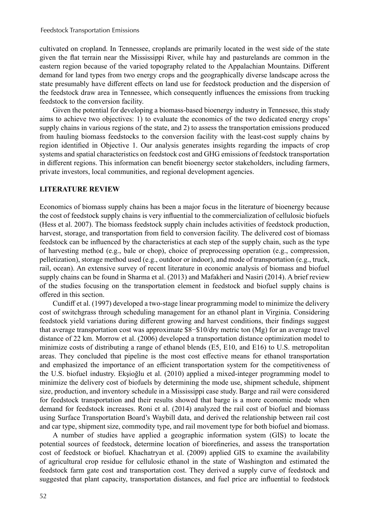cultivated on cropland. In Tennessee, croplands are primarily located in the west side of the state given the flat terrain near the Mississippi River, while hay and pasturelands are common in the eastern region because of the varied topography related to the Appalachian Mountains. Different demand for land types from two energy crops and the geographically diverse landscape across the state presumably have different effects on land use for feedstock production and the dispersion of the feedstock draw area in Tennessee, which consequently influences the emissions from trucking feedstock to the conversion facility.

Given the potential for developing a biomass-based bioenergy industry in Tennessee, this study aims to achieve two objectives: 1) to evaluate the economics of the two dedicated energy crops' supply chains in various regions of the state, and 2) to assess the transportation emissions produced from hauling biomass feedstocks to the conversion facility with the least-cost supply chains by region identified in Objective 1. Our analysis generates insights regarding the impacts of crop systems and spatial characteristics on feedstock cost and GHG emissions of feedstock transportation in different regions. This information can benefit bioenergy sector stakeholders, including farmers, private investors, local communities, and regional development agencies.

## **LITERATURE REVIEW**

Economics of biomass supply chains has been a major focus in the literature of bioenergy because the cost of feedstock supply chains is very influential to the commercialization of cellulosic biofuels (Hess et al. 2007). The biomass feedstock supply chain includes activities of feedstock production, harvest, storage, and transportation from field to conversion facility. The delivered cost of biomass feedstock can be influenced by the characteristics at each step of the supply chain, such as the type of harvesting method (e.g., bale or chop), choice of preprocessing operation (e.g., compression, pelletization), storage method used (e.g., outdoor or indoor), and mode of transportation (e.g., truck, rail, ocean). An extensive survey of recent literature in economic analysis of biomass and biofuel supply chains can be found in Sharma et al. (2013) and Mafakheri and Nasiri (2014). A brief review of the studies focusing on the transportation element in feedstock and biofuel supply chains is offered in this section.

Cundiff et al. (1997) developed a two-stage linear programming model to minimize the delivery cost of switchgrass through scheduling management for an ethanol plant in Virginia. Considering feedstock yield variations during different growing and harvest conditions, their findings suggest that average transportation cost was approximate \$8−\$10/dry metric ton (Mg) for an average travel distance of 22 km. Morrow et al. (2006) developed a transportation distance optimization model to minimize costs of distributing a range of ethanol blends (E5, E10, and E16) to U.S. metropolitan areas. They concluded that pipeline is the most cost effective means for ethanol transportation and emphasized the importance of an efficient transportation system for the competitiveness of the U.S. biofuel industry. Ekşioğlu et al. (2010) applied a mixed-integer programming model to minimize the delivery cost of biofuels by determining the mode use, shipment schedule, shipment size, production, and inventory schedule in a Mississippi case study. Barge and rail were considered for feedstock transportation and their results showed that barge is a more economic mode when demand for feedstock increases. Roni et al. (2014) analyzed the rail cost of biofuel and biomass using Surface Transportation Board's Waybill data, and derived the relationship between rail cost and car type, shipment size, commodity type, and rail movement type for both biofuel and biomass.

A number of studies have applied a geographic information system (GIS) to locate the potential sources of feedstock, determine location of biorefineries, and assess the transportation cost of feedstock or biofuel. Khachatryan et al. (2009) applied GIS to examine the availability of agricultural crop residue for cellulosic ethanol in the state of Washington and estimated the feedstock farm gate cost and transportation cost. They derived a supply curve of feedstock and suggested that plant capacity, transportation distances, and fuel price are influential to feedstock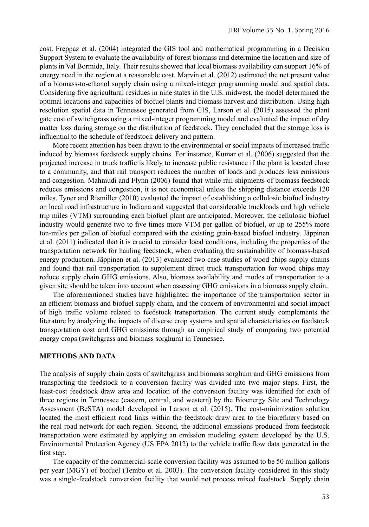cost. Freppaz et al. (2004) integrated the GIS tool and mathematical programming in a Decision Support System to evaluate the availability of forest biomass and determine the location and size of plants in Val Bormida, Italy. Their results showed that local biomass availability can support 16% of energy need in the region at a reasonable cost. Marvin et al. (2012) estimated the net present value of a biomass-to-ethanol supply chain using a mixed-integer programming model and spatial data. Considering five agricultural residues in nine states in the U.S. midwest, the model determined the optimal locations and capacities of biofuel plants and biomass harvest and distribution. Using high resolution spatial data in Tennessee generated from GIS, Larson et al. (2015) assessed the plant gate cost of switchgrass using a mixed-integer programming model and evaluated the impact of dry matter loss during storage on the distribution of feedstock. They concluded that the storage loss is influential to the schedule of feedstock delivery and pattern.

More recent attention has been drawn to the environmental or social impacts of increased traffic induced by biomass feedstock supply chains. For instance, Kumar et al. (2006) suggested that the projected increase in truck traffic is likely to increase public resistance if the plant is located close to a community, and that rail transport reduces the number of loads and produces less emissions and congestion. Mahmudi and Flynn (2006) found that while rail shipments of biomass feedstock reduces emissions and congestion, it is not economical unless the shipping distance exceeds 120 miles. Tyner and Rismiller (2010) evaluated the impact of establishing a cellulosic biofuel industry on local road infrastructure in Indiana and suggested that considerable truckloads and high vehicle trip miles (VTM) surrounding each biofuel plant are anticipated. Moreover, the cellulosic biofuel industry would generate two to five times more VTM per gallon of biofuel, or up to 255% more ton-miles per gallon of biofuel compared with the existing grain-based biofuel industry. Jäppinen et al. (2011) indicated that it is crucial to consider local conditions, including the properties of the transportation network for hauling feedstock, when evaluating the sustainability of biomass-based energy production. Jäppinen et al. (2013) evaluated two case studies of wood chips supply chains and found that rail transportation to supplement direct truck transportation for wood chips may reduce supply chain GHG emissions. Also, biomass availability and modes of transportation to a given site should be taken into account when assessing GHG emissions in a biomass supply chain.

The aforementioned studies have highlighted the importance of the transportation sector in an efficient biomass and biofuel supply chain, and the concern of environmental and social impact of high traffic volume related to feedstock transportation. The current study complements the literature by analyzing the impacts of diverse crop systems and spatial characteristics on feedstock transportation cost and GHG emissions through an empirical study of comparing two potential energy crops (switchgrass and biomass sorghum) in Tennessee.

#### **METHODS AND DATA**

The analysis of supply chain costs of switchgrass and biomass sorghum and GHG emissions from transporting the feedstock to a conversion facility was divided into two major steps. First, the least-cost feedstock draw area and location of the conversion facility was identified for each of three regions in Tennessee (eastern, central, and western) by the Bioenergy Site and Technology Assessment (BeSTA) model developed in Larson et al. (2015). The cost-minimization solution located the most efficient road links within the feedstock draw area to the biorefinery based on the real road network for each region. Second, the additional emissions produced from feedstock transportation were estimated by applying an emission modeling system developed by the U.S. Environmental Protection Agency (US EPA 2012) to the vehicle traffic flow data generated in the first step.

The capacity of the commercial-scale conversion facility was assumed to be 50 million gallons per year (MGY) of biofuel (Tembo et al. 2003). The conversion facility considered in this study was a single-feedstock conversion facility that would not process mixed feedstock. Supply chain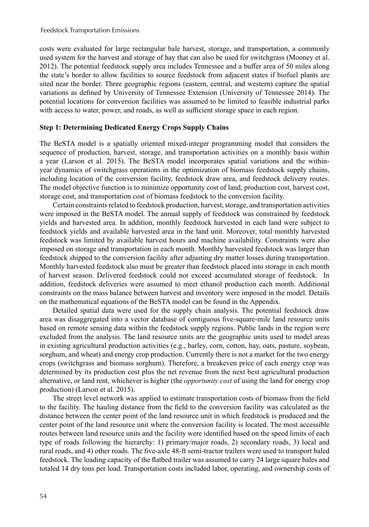costs were evaluated for large rectangular bale harvest, storage, and transportation, a commonly used system for the harvest and storage of hay that can also be used for switchgrass (Mooney et al. 2012). The potential feedstock supply area includes Tennessee and a buffer area of 50 miles along the state's border to allow facilities to source feedstock from adjacent states if biofuel plants are sited near the border. Three geographic regions (eastern, central, and western) capture the spatial variations as defined by University of Tennessee Extension (University of Tennessee 2014). The potential locations for conversion facilities was assumed to be limited to feasible industrial parks with access to water, power, and roads, as well as sufficient storage space in each region.

#### **Step 1: Determining Dedicated Energy Crops Supply Chains**

The BeSTA model is a spatially oriented mixed-integer programming model that considers the sequence of production, harvest, storage, and transportation activities on a monthly basis within a year (Larson et al. 2015). The BeSTA model incorporates spatial variations and the withinyear dynamics of switchgrass operations in the optimization of biomass feedstock supply chains, including location of the conversion facility, feedstock draw area, and feedstock delivery routes. The model objective function is to minimize opportunity cost of land, production cost, harvest cost, storage cost, and transportation cost of biomass feedstock to the conversion facility.

Certain constraints related to feedstock production, harvest, storage, and transportation activities were imposed in the BeSTA model. The annual supply of feedstock was constrained by feedstock yields and harvested area. In addition, monthly feedstock harvested in each land were subject to feedstock yields and available harvested area in the land unit. Moreover, total monthly harvested feedstock was limited by available harvest hours and machine availability. Constraints were also imposed on storage and transportation in each month. Monthly harvested feedstock was larger than feedstock shipped to the conversion facility after adjusting dry matter losses during transportation. Monthly harvested feedstock also must be greater than feedstock placed into storage in each month of harvest season. Delivered feedstock could not exceed accumulated storage of feedstock. In addition, feedstock deliveries were assumed to meet ethanol production each month. Additional constraints on the mass balance between harvest and inventory were imposed in the model. Details on the mathematical equations of the BeSTA model can be found in the Appendix.

Detailed spatial data were used for the supply chain analysis. The potential feedstock draw area was disaggregated into a vector database of contiguous five-square-mile land resource units based on remote sensing data within the feedstock supply regions. Public lands in the region were excluded from the analysis. The land resource units are the geographic units used to model areas in existing agricultural production activities (e.g., barley, corn, cotton, hay, oats, pasture, soybean, sorghum, and wheat) and energy crop production. Currently there is not a market for the two energy crops (switchgrass and biomass sorghum). Therefore, a breakeven price of each energy crop was determined by its production cost plus the net revenue from the next best agricultural production alternative, or land rent, whichever is higher (the *opportunity cost* of using the land for energy crop production) (Larson et al. 2015).

The street level network was applied to estimate transportation costs of biomass from the field to the facility. The hauling distance from the field to the conversion facility was calculated as the distance between the center point of the land resource unit in which feedstock is produced and the center point of the land resource unit where the conversion facility is located. The most accessible routes between land resource units and the facility were identified based on the speed limits of each type of roads following the hierarchy: 1) primary/major roads, 2) secondary roads, 3) local and rural roads, and 4) other roads. The five-axle 48-ft semi-tractor trailers were used to transport baled feedstock. The loading capacity of the flatbed trailer was assumed to carry 24 large square bales and totaled 14 dry tons per load. Transportation costs included labor, operating, and ownership costs of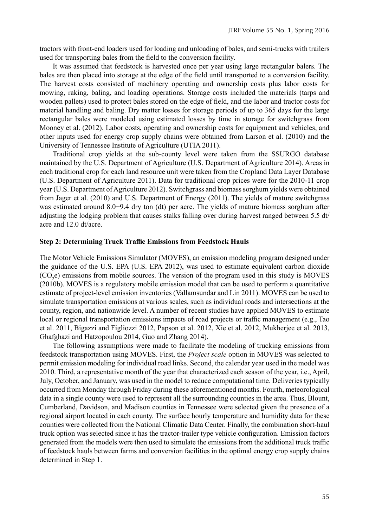tractors with front-end loaders used for loading and unloading of bales, and semi-trucks with trailers used for transporting bales from the field to the conversion facility.

It was assumed that feedstock is harvested once per year using large rectangular balers. The bales are then placed into storage at the edge of the field until transported to a conversion facility. The harvest costs consisted of machinery operating and ownership costs plus labor costs for mowing, raking, baling, and loading operations. Storage costs included the materials (tarps and wooden pallets) used to protect bales stored on the edge of field, and the labor and tractor costs for material handling and baling. Dry matter losses for storage periods of up to 365 days for the large rectangular bales were modeled using estimated losses by time in storage for switchgrass from Mooney et al. (2012). Labor costs, operating and ownership costs for equipment and vehicles, and other inputs used for energy crop supply chains were obtained from Larson et al. (2010) and the University of Tennessee Institute of Agriculture (UTIA 2011).

Traditional crop yields at the sub-county level were taken from the SSURGO database maintained by the U.S. Department of Agriculture (U.S. Department of Agriculture 2014). Areas in each traditional crop for each land resource unit were taken from the Cropland Data Layer Database (U.S. Department of Agriculture 2011). Data for traditional crop prices were for the 2010-11 crop year (U.S. Department of Agriculture 2012). Switchgrass and biomass sorghum yields were obtained from Jager et al. (2010) and U.S. Department of Energy (2011). The yields of mature switchgrass was estimated around 8.0−9.4 dry ton (dt) per acre. The yields of mature biomass sorghum after adjusting the lodging problem that causes stalks falling over during harvest ranged between  $5.5 \text{ dt}$ acre and 12.0 dt/acre.

#### **Step 2: Determining Truck Traffic Emissions from Feedstock Hauls**

The Motor Vehicle Emissions Simulator (MOVES), an emission modeling program designed under the guidance of the U.S. EPA (U.S. EPA 2012), was used to estimate equivalent carbon dioxide  $(CO<sub>2</sub>e)$  emissions from mobile sources. The version of the program used in this study is MOVES (2010b). MOVES is a regulatory mobile emission model that can be used to perform a quantitative estimate of project-level emission inventories (Vallamsundar and Lin 2011). MOVES can be used to simulate transportation emissions at various scales, such as individual roads and intersections at the county, region, and nationwide level. A number of recent studies have applied MOVES to estimate local or regional transportation emissions impacts of road projects or traffic management (e.g., Tao et al. 2011, Bigazzi and Figliozzi 2012, Papson et al. 2012, Xie et al. 2012, Mukherjee et al. 2013, Ghafghazi and Hatzopoulou 2014, Guo and Zhang 2014).

The following assumptions were made to facilitate the modeling of trucking emissions from feedstock transportation using MOVES. First, the *Project scale* option in MOVES was selected to permit emission modeling for individual road links. Second, the calendar year used in the model was 2010. Third, a representative month of the year that characterized each season of the year, i.e., April, July, October, and January, was used in the model to reduce computational time. Deliveries typically occurred from Monday through Friday during these aforementioned months. Fourth, meteorological data in a single county were used to represent all the surrounding counties in the area. Thus, Blount, Cumberland, Davidson, and Madison counties in Tennessee were selected given the presence of a regional airport located in each county. The surface hourly temperature and humidity data for these counties were collected from the National Climatic Data Center. Finally, the combination short-haul truck option was selected since it has the tractor-trailer type vehicle configuration. Emission factors generated from the models were then used to simulate the emissions from the additional truck traffic of feedstock hauls between farms and conversion facilities in the optimal energy crop supply chains determined in Step 1.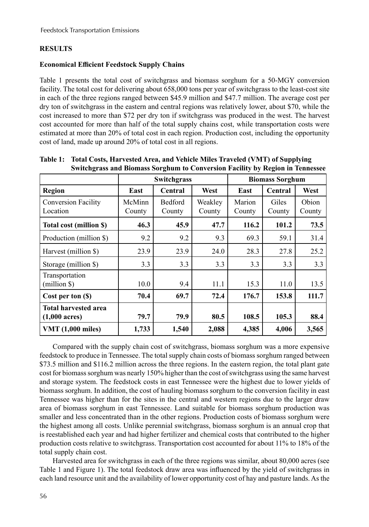## **RESULTS**

## **Economical Efficient Feedstock Supply Chains**

Table 1 presents the total cost of switchgrass and biomass sorghum for a 50-MGY conversion facility. The total cost for delivering about 658,000 tons per year of switchgrass to the least-cost site in each of the three regions ranged between \$45.9 million and \$47.7 million. The average cost per dry ton of switchgrass in the eastern and central regions was relatively lower, about \$70, while the cost increased to more than \$72 per dry ton if switchgrass was produced in the west. The harvest cost accounted for more than half of the total supply chains cost, while transportation costs were estimated at more than 20% of total cost in each region. Production cost, including the opportunity cost of land, made up around 20% of total cost in all regions.

|                             | Switchgrass |         |         | <b>Biomass Sorghum</b> |         |        |
|-----------------------------|-------------|---------|---------|------------------------|---------|--------|
| Region                      | East        | Central | West    | East                   | Central | West   |
| <b>Conversion Facility</b>  | McMinn      | Bedford | Weakley | Marion                 | Giles   | Obion  |
| Location                    | County      | County  | County  | County                 | County  | County |
| Total cost (million \$)     | 46.3        | 45.9    | 47.7    | 116.2                  | 101.2   | 73.5   |
| Production (million \$)     | 9.2         | 9.2     | 9.3     | 69.3                   | 59.1    | 31.4   |
| Harvest (million \$)        | 23.9        | 23.9    | 24.0    | 28.3                   | 27.8    | 25.2   |
| Storage (million \$)        | 3.3         | 3.3     | 3.3     | 3.3                    | 3.3     | 3.3    |
| Transportation              |             |         |         |                        |         |        |
| (million \$)                | 10.0        | 9.4     | 11.1    | 15.3                   | 11.0    | 13.5   |
| Cost per ton (\$)           | 70.4        | 69.7    | 72.4    | 176.7                  | 153.8   | 111.7  |
| <b>Total harvested area</b> |             |         |         |                        |         |        |
| $(1,000 \text{ acres})$     | 79.7        | 79.9    | 80.5    | 108.5                  | 105.3   | 88.4   |
| <b>VMT</b> (1,000 miles)    | 1,733       | 1,540   | 2,088   | 4,385                  | 4,006   | 3,565  |

**Table 1: Total Costs, Harvested Area, and Vehicle Miles Traveled (VMT) of Supplying Switchgrass and Biomass Sorghum to Conversion Facility by Region in Tennessee** 

Compared with the supply chain cost of switchgrass, biomass sorghum was a more expensive feedstock to produce in Tennessee. The total supply chain costs of biomass sorghum ranged between \$73.5 million and \$116.2 million across the three regions. In the eastern region, the total plant gate cost for biomass sorghum was nearly 150% higher than the cost of switchgrass using the same harvest and storage system. The feedstock costs in east Tennessee were the highest due to lower yields of biomass sorghum. In addition, the cost of hauling biomass sorghum to the conversion facility in east Tennessee was higher than for the sites in the central and western regions due to the larger draw area of biomass sorghum in east Tennessee. Land suitable for biomass sorghum production was smaller and less concentrated than in the other regions. Production costs of biomass sorghum were the highest among all costs. Unlike perennial switchgrass, biomass sorghum is an annual crop that is reestablished each year and had higher fertilizer and chemical costs that contributed to the higher production costs relative to switchgrass. Transportation cost accounted for about 11% to 18% of the total supply chain cost.

Harvested area for switchgrass in each of the three regions was similar, about 80,000 acres (see Table 1 and Figure 1). The total feedstock draw area was influenced by the yield of switchgrass in each land resource unit and the availability of lower opportunity cost of hay and pasture lands. As the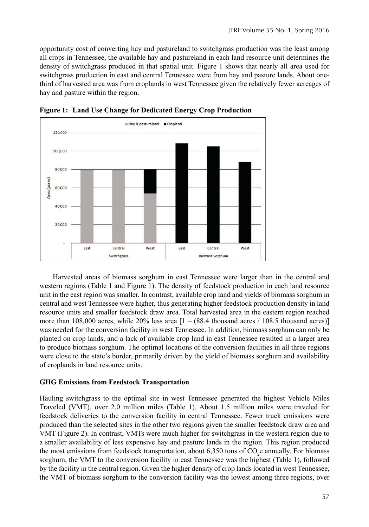opportunity cost of converting hay and pastureland to switchgrass production was the least among all crops in Tennessee, the available hay and pastureland in each land resource unit determines the density of switchgrass produced in that spatial unit. Figure 1 shows that nearly all area used for switchgrass production in east and central Tennessee were from hay and pasture lands. About onethird of harvested area was from croplands in west Tennessee given the relatively fewer acreages of hay and pasture within the region.





Harvested areas of biomass sorghum in east Tennessee were larger than in the central and western regions (Table 1 and Figure 1). The density of feedstock production in each land resource unit in the east region was smaller. In contrast, available crop land and yields of biomass sorghum in central and west Tennessee were higher, thus generating higher feedstock production density in land resource units and smaller feedstock draw area. Total harvested area in the eastern region reached more than 108,000 acres, while 20% less area  $[1 - (88.4 \text{ thousand acres} / 108.5 \text{ thousand acres})]$ was needed for the conversion facility in west Tennessee. In addition, biomass sorghum can only be planted on crop lands, and a lack of available crop land in east Tennessee resulted in a larger area to produce biomass sorghum. The optimal locations of the conversion facilities in all three regions were close to the state's border, primarily driven by the yield of biomass sorghum and availability of croplands in land resource units.

## **GHG Emissions from Feedstock Transportation**

Hauling switchgrass to the optimal site in west Tennessee generated the highest Vehicle Miles Traveled (VMT), over 2.0 million miles (Table 1). About 1.5 million miles were traveled for feedstock deliveries to the conversion facility in central Tennessee. Fewer truck emissions were produced than the selected sites in the other two regions given the smaller feedstock draw area and VMT (Figure 2). In contrast, VMTs were much higher for switchgrass in the western region due to a smaller availability of less expensive hay and pasture lands in the region. This region produced the most emissions from feedstock transportation, about 6,350 tons of  $CO_2$ e annually. For biomass sorghum, the VMT to the conversion facility in east Tennessee was the highest (Table 1), followed by the facility in the central region. Given the higher density of crop lands located in west Tennessee, the VMT of biomass sorghum to the conversion facility was the lowest among three regions, over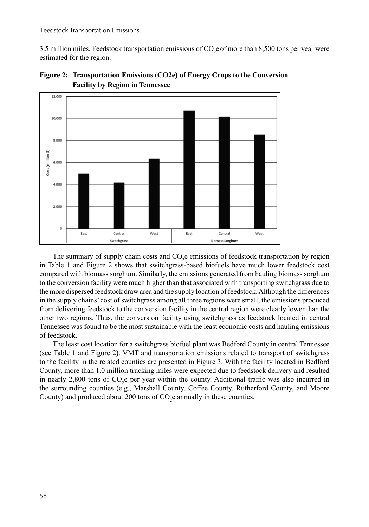3.5 million miles. Feedstock transportation emissions of  $\mathrm{CO}_2$ e of more than 8,500 tons per year were estimated for the region.





The summary of supply chain costs and  $CO_2$ e emissions of feedstock transportation by region in Table 1 and Figure 2 shows that switchgrass-based biofuels have much lower feedstock cost compared with biomass sorghum. Similarly, the emissions generated from hauling biomass sorghum to the conversion facility were much higher than that associated with transporting switchgrass due to the more dispersed feedstock draw area and the supply location of feedstock. Although the differences in the supply chains' cost of switchgrass among all three regions were small, the emissions produced from delivering feedstock to the conversion facility in the central region were clearly lower than the other two regions. Thus, the conversion facility using switchgrass as feedstock located in central Tennessee was found to be the most sustainable with the least economic costs and hauling emissions of feedstock.

The least cost location for a switchgrass biofuel plant was Bedford County in central Tennessee (see Table 1 and Figure 2). VMT and transportation emissions related to transport of switchgrass to the facility in the related counties are presented in Figure 3. With the facility located in Bedford County, more than 1.0 million trucking miles were expected due to feedstock delivery and resulted in nearly 2,800 tons of  $CO<sub>2</sub>e$  per year within the county. Additional traffic was also incurred in the surrounding counties (e.g., Marshall County, Coffee County, Rutherford County, and Moore County) and produced about 200 tons of  $CO<sub>2</sub>e$  annually in these counties.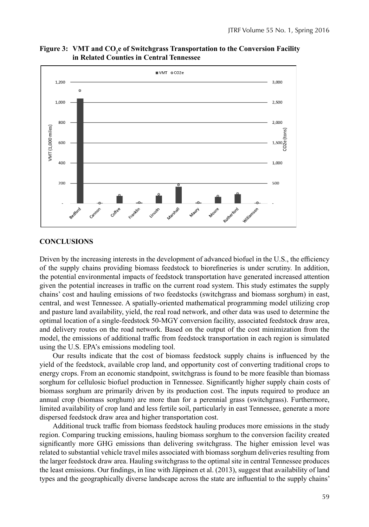

**Figure 3: VMT and CO<sup>2</sup> e of Switchgrass Transportation to the Conversion Facility in Related Counties in Central Tennessee**

#### **CONCLUSIONS**

Driven by the increasing interests in the development of advanced biofuel in the U.S., the efficiency of the supply chains providing biomass feedstock to biorefineries is under scrutiny. In addition, the potential environmental impacts of feedstock transportation have generated increased attention given the potential increases in traffic on the current road system. This study estimates the supply chains' cost and hauling emissions of two feedstocks (switchgrass and biomass sorghum) in east, central, and west Tennessee. A spatially-oriented mathematical programming model utilizing crop and pasture land availability, yield, the real road network, and other data was used to determine the optimal location of a single-feedstock 50-MGY conversion facility, associated feedstock draw area, and delivery routes on the road network. Based on the output of the cost minimization from the model, the emissions of additional traffic from feedstock transportation in each region is simulated using the U.S. EPA's emissions modeling tool.

Our results indicate that the cost of biomass feedstock supply chains is influenced by the yield of the feedstock, available crop land, and opportunity cost of converting traditional crops to energy crops. From an economic standpoint, switchgrass is found to be more feasible than biomass sorghum for cellulosic biofuel production in Tennessee. Significantly higher supply chain costs of biomass sorghum are primarily driven by its production cost. The inputs required to produce an annual crop (biomass sorghum) are more than for a perennial grass (switchgrass). Furthermore, limited availability of crop land and less fertile soil, particularly in east Tennessee, generate a more dispersed feedstock draw area and higher transportation cost.

Additional truck traffic from biomass feedstock hauling produces more emissions in the study region. Comparing trucking emissions, hauling biomass sorghum to the conversion facility created significantly more GHG emissions than delivering switchgrass. The higher emission level was related to substantial vehicle travel miles associated with biomass sorghum deliveries resulting from the larger feedstock draw area. Hauling switchgrass to the optimal site in central Tennessee produces the least emissions. Our findings, in line with Jäppinen et al. (2013), suggest that availability of land types and the geographically diverse landscape across the state are influential to the supply chains'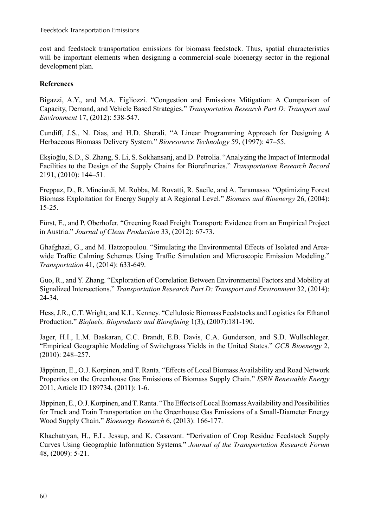cost and feedstock transportation emissions for biomass feedstock. Thus, spatial characteristics will be important elements when designing a commercial-scale bioenergy sector in the regional development plan.

## **References**

Bigazzi, A.Y., and M.A. Figliozzi. "Congestion and Emissions Mitigation: A Comparison of Capacity, Demand, and Vehicle Based Strategies." *Transportation Research Part D: Transport and Environment* 17, (2012): 538-547.

Cundiff, J.S., N. Dias, and H.D. Sherali. "A Linear Programming Approach for Designing A Herbaceous Biomass Delivery System." *Bioresource Technology* 59, (1997): 47–55.

Ekşioğlu, S.D., S. Zhang, S. Li, S. Sokhansanj, and D. Petrolia. "Analyzing the Impact of Intermodal Facilities to the Design of the Supply Chains for Biorefineries." *Transportation Research Record* 2191, (2010): 144–51.

Freppaz, D., R. Minciardi, M. Robba, M. Rovatti, R. Sacile, and A. Taramasso. "Optimizing Forest Biomass Exploitation for Energy Supply at A Regional Level." *Biomass and Bioenergy* 26, (2004): 15-25.

Fürst, E., and P. Oberhofer. "Greening Road Freight Transport: Evidence from an Empirical Project in Austria." *Journal of Clean Production* 33, (2012): 67-73.

Ghafghazi, G., and M. Hatzopoulou. "Simulating the Environmental Effects of Isolated and Areawide Traffic Calming Schemes Using Traffic Simulation and Microscopic Emission Modeling." *Transportation* 41, (2014): 633-649.

Guo, R., and Y. Zhang. "Exploration of Correlation Between Environmental Factors and Mobility at Signalized Intersections." *Transportation Research Part D: Transport and Environment* 32, (2014): 24-34.

Hess, J.R., C.T. Wright, and K.L. Kenney. "Cellulosic Biomass Feedstocks and Logistics for Ethanol Production." *Biofuels, Bioproducts and Biorefining* 1(3), (2007):181-190.

Jager, H.I., L.M. Baskaran, C.C. Brandt, E.B. Davis, C.A. Gunderson, and S.D. Wullschleger. "Empirical Geographic Modeling of Switchgrass Yields in the United States." *GCB Bioenergy* 2, (2010): 248–257.

Jäppinen, E., O.J. Korpinen, and T. Ranta. "Effects of Local Biomass Availability and Road Network Properties on the Greenhouse Gas Emissions of Biomass Supply Chain." *ISRN Renewable Energy* 2011, Article ID 189734, (2011): 1-6.

Jäppinen, E., O.J. Korpinen, and T. Ranta. "The Effects of Local Biomass Availability and Possibilities for Truck and Train Transportation on the Greenhouse Gas Emissions of a Small-Diameter Energy Wood Supply Chain." *Bioenergy Research* 6, (2013): 166-177.

Khachatryan, H., E.L. Jessup, and K. Casavant. "Derivation of Crop Residue Feedstock Supply Curves Using Geographic Information Systems*.*" *Journal of the Transportation Research Forum* 48, (2009): 5-21.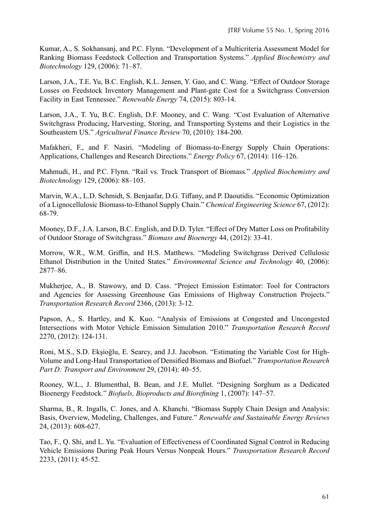Kumar, A., S. Sokhansanj, and P.C. Flynn. "Development of a Multicriteria Assessment Model for Ranking Biomass Feedstock Collection and Transportation Systems." *Applied Biochemistry and Biotechnology* 129, (2006): 71–87.

Larson, J.A., T.E. Yu, B.C. English, K.L. Jensen, Y. Gao, and C. Wang. "Effect of Outdoor Storage Losses on Feedstock Inventory Management and Plant-gate Cost for a Switchgrass Conversion Facility in East Tennessee." *Renewable Energy* 74, (2015): 803-14.

Larson, J.A., T. Yu, B.C. English, D.F. Mooney, and C. Wang. "Cost Evaluation of Alternative Switchgrass Producing, Harvesting, Storing, and Transporting Systems and their Logistics in the Southeastern US." *Agricultural Finance Review* 70, (2010): 184-200.

Mafakheri, F., and F. Nasiri. "Modeling of Biomass-to-Energy Supply Chain Operations: Applications, Challenges and Research Directions." *Energy Policy* 67, (2014): 116–126.

Mahmudi, H., and P.C. Flynn. "Rail vs. Truck Transport of Biomass*.*" *Applied Biochemistry and Biotechnology* 129, (2006): 88–103.

Marvin, W.A., L.D. Schmidt, S. Benjaafar, D.G. Tiffany, and P. Daoutidis. "Economic Optimization of a Lignocellulosic Biomass-to-Ethanol Supply Chain." *Chemical Engineering Science* 67, (2012): 68-79.

Mooney, D.F., J.A. Larson, B.C. English, and D.D. Tyler. "Effect of Dry Matter Loss on Profitability of Outdoor Storage of Switchgrass." *Biomass and Bioenergy* 44, (2012): 33-41.

Morrow, W.R., W.M. Griffin, and H.S. Matthews. "Modeling Switchgrass Derived Cellulosic Ethanol Distribution in the United States." *Environmental Science and Technology* 40, (2006): 2877–86.

Mukherjee, A., B. Stawowy, and D. Cass. "Project Emission Estimator: Tool for Contractors and Agencies for Assessing Greenhouse Gas Emissions of Highway Construction Projects." *Transportation Research Record* 2366, (2013): 3-12.

Papson, A., S. Hartley, and K. Kuo. "Analysis of Emissions at Congested and Uncongested Intersections with Motor Vehicle Emission Simulation 2010." *Transportation Research Record*  2270, (2012): 124-131.

Roni, M.S., S.D. Ekşioğlu, E. Searcy, and J.J. Jacobson. "Estimating the Variable Cost for High-Volume and Long-Haul Transportation of Densified Biomass and Biofuel." *Transportation Research Part D: Transport and Environment* 29, (2014): 40–55.

Rooney, W.L., J. Blumenthal, B. Bean, and J.E. Mullet. "Designing Sorghum as a Dedicated Bioenergy Feedstock." *Biofuels, Bioproducts and Biorefining* 1, (2007): 147–57.

Sharma, B., R. Ingalls, C. Jones, and A. Khanchi. "Biomass Supply Chain Design and Analysis: Basis, Overview, Modeling, Challenges, and Future." *Renewable and Sustainable Energy Reviews* 24, (2013): 608-627.

Tao, F., Q. Shi, and L. Yu. "Evaluation of Effectiveness of Coordinated Signal Control in Reducing Vehicle Emissions During Peak Hours Versus Nonpeak Hours." *Transportation Research Record* 2233, (2011): 45-52.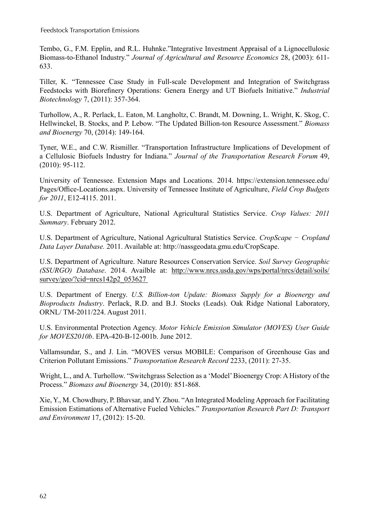Feedstock Transportation Emissions

Tembo, G., F.M. Epplin, and R.L. Huhnke."Integrative Investment Appraisal of a Lignocellulosic Biomass-to-Ethanol Industry." *Journal of Agricultural and Resource Economics* 28, (2003): 611- 633.

Tiller, K. "Tennessee Case Study in Full-scale Development and Integration of Switchgrass Feedstocks with Biorefinery Operations: Genera Energy and UT Biofuels Initiative." *Industrial Biotechnology* 7, (2011): 357-364.

Turhollow, A., R. Perlack, L. Eaton, M. Langholtz, C. Brandt, M. Downing, L. Wright, K. Skog, C. Hellwinckel, B. Stocks, and P. Lebow. "The Updated Billion-ton Resource Assessment." *Biomass and Bioenergy* 70, (2014): 149-164.

Tyner, W.E., and C.W. Rismiller. "Transportation Infrastructure Implications of Development of a Cellulosic Biofuels Industry for Indiana." *Journal of the Transportation Research Forum* 49, (2010): 95-112.

University of Tennessee. Extension Maps and Locations. 2014. https://extension.tennessee.edu/ Pages/Office-Locations.aspx. University of Tennessee Institute of Agriculture, *Field Crop Budgets for 2011*, E12-4115. 2011.

U.S. Department of Agriculture, National Agricultural Statistics Service. *Crop Values: 2011 Summary*. February 2012.

U.S. Department of Agriculture, National Agricultural Statistics Service. *CropScape* − *Cropland Data Layer Database.* 2011. Available at: http://nassgeodata.gmu.edu/CropScape.

U.S. Department of Agriculture. Nature Resources Conservation Service. *Soil Survey Geographic (SSURGO) Database*. 2014. Availble at: http://www.nrcs.usda.gov/wps/portal/nrcs/detail/soils/ survey/geo/?cid=nrcs142p2\_053627

U.S. Department of Energy. *U.S. Billion-ton Update: Biomass Supply for a Bioenergy and Bioproducts Industry*. Perlack, R.D. and B.J. Stocks (Leads). Oak Ridge National Laboratory, ORNL/ TM-2011/224. August 2011.

U.S. Environmental Protection Agency. *Motor Vehicle Emission Simulator (MOVES) User Guide for MOVES2010b*. EPA-420-B-12-001b. June 2012.

Vallamsundar, S., and J. Lin. "MOVES versus MOBILE: Comparison of Greenhouse Gas and Criterion Pollutant Emissions." *Transportation Research Record* 2233, (2011): 27-35.

Wright, L., and A. Turhollow. "Switchgrass Selection as a 'Model' Bioenergy Crop: A History of the Process." *Biomass and Bioenergy* 34, (2010): 851-868.

Xie, Y., M. Chowdhury, P. Bhavsar, and Y. Zhou. "An Integrated Modeling Approach for Facilitating Emission Estimations of Alternative Fueled Vehicles." *Transportation Research Part D: Transport and Environment* 17, (2012): 15-20.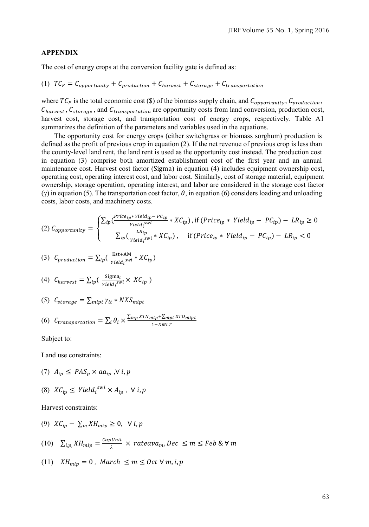#### **APPENDIX**

The cost of energy crops at the conversion facility gate is defined as:

(1) 
$$
TC_F = C_{opportunity} + C_{production} + C_{harvest} + C_{storage} + C_{transportation}
$$

where  $TC_F$  is the total economic cost (\$) of the biomass supply chain, and  $C_{opportunity}$ ,  $C_{production}$ ,  $C_{harvest}$ ,  $C_{storage}$ , and  $C_{transportion}$  are opportunity costs from land conversion, production cost, harvest cost, storage cost, and transportation cost of energy crops, respectively. Table A1 summarizes the definition of the parameters and variables used in the equations.

The opportunity cost for energy crops (either switchgrass or biomass sorghum) production is defined as the profit of previous crop in equation (2). If the net revenue of previous crop is less than the county-level land rent, the land rent is used as the opportunity cost instead. The production cost in equation (3) comprise both amortized establishment cost of the first year and an annual maintenance cost. Harvest cost factor (Sigma) in equation (4) includes equipment ownership cost, operating cost, operating interest cost, and labor cost. Similarly, cost of storage material, equipment ownership, storage operation, operating interest, and labor are considered in the storage cost factor (γ) in equation (5). The transportation cost factor,  $\theta$ , in equation (6) considers loading and unloading costs, labor costs, and machinery costs.

$$
(2) \ C_{opportunity} = \begin{cases} \sum_{ip} \left( \frac{Price_{ip} * Yield_{ip} - PC_{ip}}{Field_i^{swi}} * XC_{ip} \right), \text{if } (Price_{ip} * Yield_{ip} - PC_{ip}) - LR_{ip} \ge 0\\ \sum_{ip} \left( \frac{LR_{ip}}{yield_i^{swi}} * XC_{ip} \right), \quad \text{if } (Price_{ip} * Yield_{ip} - PC_{ip}) - LR_{ip} < 0 \end{cases}
$$

(3) 
$$
C_{production} = \sum_{ip} \left( \frac{\text{Est+AM}}{\text{Yield}_i^{\text{swi}}} * X C_{ip} \right)
$$

(4) 
$$
C_{harvest} = \sum_{ip} \left( \frac{\text{Sigma}_{ij}}{\text{Yield}_{i}^{swi}} \times \text{XC}_{ip} \right)
$$

$$
(5) C_{storage} = \sum_{mipt} \gamma_{it} * NXS_{mipt}
$$

(6) 
$$
C_{transportation} = \sum_{i} \theta_{i} \times \frac{\sum_{mp} x_{T N_{mip} + \sum_{mpt} x_{T O_{mip}t}}{1 - D M L T}
$$

Subject to:

Land use constraints:

- (7)  $A_{ip} \leq PAS_p \times aa_{ip}$ ,  $\forall i, p$
- (8)  $XC_{ip} \leq Yield_i^{swi} \times A_{ip}$ ,  $\forall i, p$

Harvest constraints:

- (9)  $XC_{ip} \sum_m XH_{mip} \geq 0$ ,  $\forall i, p$
- (10)  $\sum_{i,p} X H_{mip} = \frac{capUnit}{\lambda} \times rateava_m, Dec \leq m \leq Feb \&\forall m$
- $(11)$   $XH_{min} = 0$ , March  $\leq m \leq Oct \forall m, i, p$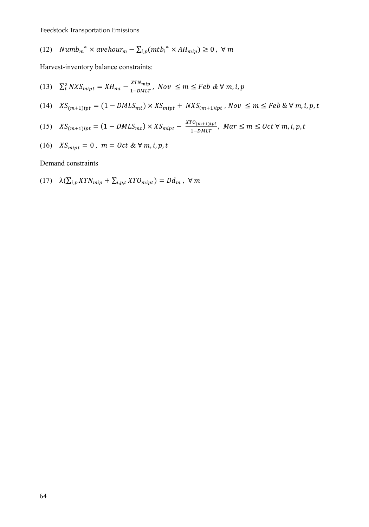Feedstock Transportation Emissions

(12) 
$$
Numb_m^{\kappa} \times avehour_m - \sum_{i,p} (mtb_i^{\kappa} \times AH_{mip}) \geq 0, \forall m
$$

Harvest-inventory balance constraints:

(13)  $\sum_{t}^{2} NXS_{mipt} = XH_{mi} - \frac{XTN_{miip}}{1 - DMLT}$  $\frac{n_1 \dots m_{\ell p}}{1 - \text{DMLT}}$ , Nov  $\leq m \leq \text{Feb} \& \forall m, i, p$ 

(14) 
$$
XS_{(m+1)ipt} = (1 - DMLS_{mt}) \times KS_{mipt} + NXS_{(m+1)ipt}, Nov \le m \le Feb \& V m, i, p, t
$$

(15) 
$$
XS_{(m+1)ipt} = (1 - DMLS_{mt}) \times KS_{mipt} - \frac{X^{TO}(m+1)ipt}{1 - DMLT}, \text{ Mar  $\leq m \leq Oct \forall m, i, p, t$
$$

(16) 
$$
XS_{mipt} = 0
$$
,  $m = Oct & \forall m, i, p, t$ 

Demand constraints

$$
(17) \quad \lambda(\sum_{i,p} XTN_{mip} + \sum_{i,p,t} XTO_{mipt}) = Dd_m \,, \,\forall \, m
$$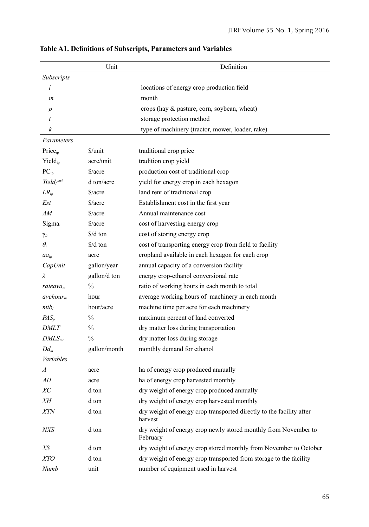|                        | Unit                                       | Definition                                                                      |
|------------------------|--------------------------------------------|---------------------------------------------------------------------------------|
| Subscripts             |                                            |                                                                                 |
| i                      |                                            | locations of energy crop production field                                       |
| m                      |                                            | month                                                                           |
| p                      |                                            | crops (hay & pasture, corn, soybean, wheat)                                     |
| t                      |                                            | storage protection method                                                       |
| k                      |                                            | type of machinery (tractor, mower, loader, rake)                                |
| Parameters             |                                            |                                                                                 |
| Price <sub>ip</sub>    | \$/unit                                    | traditional crop price                                                          |
| $Yield_{ip}$           | acre/unit                                  | tradition crop yield                                                            |
| $PC_{ip}$              | $\frac{\text{S}}{\text{acre}}$             | production cost of traditional crop                                             |
| Yield <sub>i</sub> swi | d ton/acre                                 | yield for energy crop in each hexagon                                           |
| $LR_{ip}$              | $\frac{\text{S}}{\text{acre}}$             | land rent of traditional crop                                                   |
| Est                    | $\frac{\text{a}}{\text{a} \cdot \text{b}}$ | Establishment cost in the first year                                            |
| AМ                     | \$/acre                                    | Annual maintenance cost                                                         |
| $Sigma_i$              | \$/acre                                    | cost of harvesting energy crop                                                  |
| $\gamma_{it}$          | \$/d ton                                   | cost of storing energy crop                                                     |
| $\theta_i$             | $\frac{1}{2}$ d ton                        | cost of transporting energy crop from field to facility                         |
| $aa_{ip}$              | acre                                       | cropland available in each hexagon for each crop                                |
| CapUnit                | gallon/year                                | annual capacity of a conversion facility                                        |
| λ                      | gallon/d ton                               | energy crop-ethanol conversional rate                                           |
| rateava <sub>m</sub>   | $\frac{0}{0}$                              | ratio of working hours in each month to total                                   |
| avehour <sub>m</sub>   | hour                                       | average working hours of machinery in each month                                |
| $mtb_i$                | hour/acre                                  | machine time per acre for each machinery                                        |
| $PAS_p$                | $\frac{0}{0}$                              | maximum percent of land converted                                               |
| <i>DMLT</i>            | $\frac{0}{0}$                              | dry matter loss during transportation                                           |
| DMLS <sub>mt</sub>     | $\frac{0}{0}$                              | dry matter loss during storage                                                  |
| $Dd_m$                 | gallon/month                               | monthly demand for ethanol                                                      |
| Variables              |                                            |                                                                                 |
| $\overline{A}$         | acre                                       | ha of energy crop produced annually                                             |
| AН                     | acre                                       | ha of energy crop harvested monthly                                             |
| ХC                     | d ton                                      | dry weight of energy crop produced annually                                     |
| ΧH                     | d ton                                      | dry weight of energy crop harvested monthly                                     |
| ${\it XTN}$            | d ton                                      | dry weight of energy crop transported directly to the facility after<br>harvest |
| NXS                    | d ton                                      | dry weight of energy crop newly stored monthly from November to<br>February     |
| XS                     | d ton                                      | dry weight of energy crop stored monthly from November to October               |
| XTO                    | d ton                                      | dry weight of energy crop transported from storage to the facility              |
| Numb                   | unit                                       | number of equipment used in harvest                                             |

**Table A1. Definitions of Subscripts, Parameters and Variables**